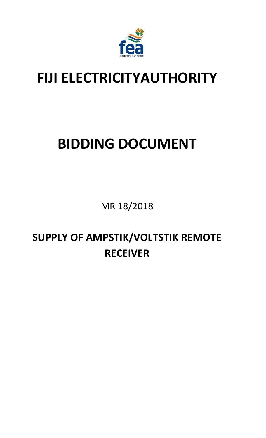

## **FIJI ELECTRICITYAUTHORITY**

# **BIDDING DOCUMENT**

MR 18/2018

**SUPPLY OF AMPSTIK/VOLTSTIK REMOTE RECEIVER**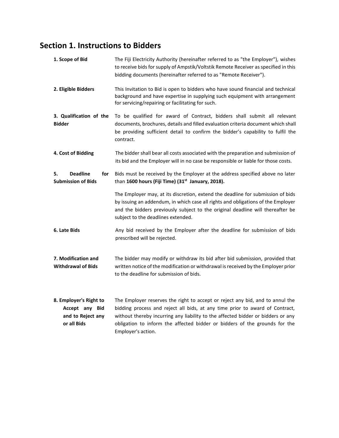## **Section 1. Instructions to Bidders**

| 1. Scope of Bid                                                              | The Fiji Electricity Authority (hereinafter referred to as "the Employer"), wishes<br>to receive bids for supply of Ampstik/Voltstik Remote Receiver as specified in this<br>bidding documents (hereinafter referred to as "Remote Receiver").                                                                                                        |  |
|------------------------------------------------------------------------------|-------------------------------------------------------------------------------------------------------------------------------------------------------------------------------------------------------------------------------------------------------------------------------------------------------------------------------------------------------|--|
| 2. Eligible Bidders                                                          | This Invitation to Bid is open to bidders who have sound financial and technical<br>background and have expertise in supplying such equipment with arrangement<br>for servicing/repairing or facilitating for such.                                                                                                                                   |  |
| 3. Qualification of the<br><b>Bidder</b>                                     | To be qualified for award of Contract, bidders shall submit all relevant<br>documents, brochures, details and filled evaluation criteria document which shall<br>be providing sufficient detail to confirm the bidder's capability to fulfil the<br>contract.                                                                                         |  |
| 4. Cost of Bidding                                                           | The bidder shall bear all costs associated with the preparation and submission of<br>its bid and the Employer will in no case be responsible or liable for those costs.                                                                                                                                                                               |  |
| <b>Deadline</b><br>5.<br>for<br><b>Submission of Bids</b>                    | Bids must be received by the Employer at the address specified above no later<br>than 1600 hours (Fiji Time) (31 <sup>st</sup> January, 2018).                                                                                                                                                                                                        |  |
|                                                                              | The Employer may, at its discretion, extend the deadline for submission of bids<br>by issuing an addendum, in which case all rights and obligations of the Employer<br>and the bidders previously subject to the original deadline will thereafter be<br>subject to the deadlines extended.                                                           |  |
| 6. Late Bids                                                                 | Any bid received by the Employer after the deadline for submission of bids<br>prescribed will be rejected.                                                                                                                                                                                                                                            |  |
| 7. Modification and<br><b>Withdrawal of Bids</b>                             | The bidder may modify or withdraw its bid after bid submission, provided that<br>written notice of the modification or withdrawal is received by the Employer prior<br>to the deadline for submission of bids.                                                                                                                                        |  |
| 8. Employer's Right to<br>Accept any Bid<br>and to Reject any<br>or all Bids | The Employer reserves the right to accept or reject any bid, and to annul the<br>bidding process and reject all bids, at any time prior to award of Contract,<br>without thereby incurring any liability to the affected bidder or bidders or any<br>obligation to inform the affected bidder or bidders of the grounds for the<br>Employer's action. |  |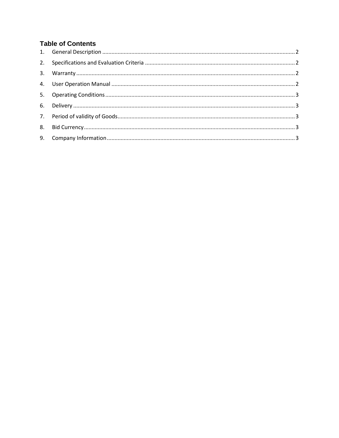#### **Table of Contents**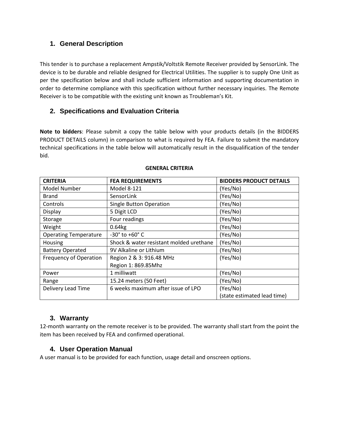#### <span id="page-3-0"></span>**1. General Description**

This tender is to purchase a replacement Ampstik/Voltstik Remote Receiver provided by SensorLink. The device is to be durable and reliable designed for Electrical Utilities. The supplier is to supply One Unit as per the specification below and shall include sufficient information and supporting documentation in order to determine compliance with this specification without further necessary inquiries. The Remote Receiver is to be compatible with the existing unit known as Troubleman's Kit.

#### <span id="page-3-1"></span>**2. Specifications and Evaluation Criteria**

**Note to bidders**: Please submit a copy the table below with your products details (in the BIDDERS PRODUCT DETAILS column) in comparison to what is required by FEA. Failure to submit the mandatory technical specifications in the table below will automatically result in the disqualification of the tender bid.

| <b>CRITERIA</b>              | <b>FEA REQUIREMENTS</b>                 | <b>BIDDERS PRODUCT DETAILS</b> |
|------------------------------|-----------------------------------------|--------------------------------|
| Model Number                 | Model 8-121                             | (Yes/No)                       |
| <b>Brand</b>                 | SensorLink                              | (Yes/No)                       |
| Controls                     | <b>Single Button Operation</b>          | (Yes/No)                       |
| Display                      | 5 Digit LCD                             | (Yes/No)                       |
| Storage                      | Four readings                           | (Yes/No)                       |
| Weight                       | 0.64kg                                  | (Yes/No)                       |
| <b>Operating Temperature</b> | $-30^{\circ}$ to $+60^{\circ}$ C        | (Yes/No)                       |
| Housing                      | Shock & water resistant molded urethane | (Yes/No)                       |
| <b>Battery Operated</b>      | 9V Alkaline or Lithium                  | (Yes/No)                       |
| Frequency of Operation       | Region 2 & 3: 916.48 MHz                | (Yes/No)                       |
|                              | Region 1: 869.85Mhz                     |                                |
| Power                        | 1 milliwatt                             | (Yes/No)                       |
| Range                        | 15.24 meters (50 Feet)                  | (Yes/No)                       |
| Delivery Lead Time           | 6 weeks maximum after issue of LPO      | (Yes/No)                       |
|                              |                                         | (state estimated lead time)    |

#### **GENERAL CRITERIA**

#### **3. Warranty**

<span id="page-3-2"></span>12-month warranty on the remote receiver is to be provided. The warranty shall start from the point the item has been received by FEA and confirmed operational.

#### **4. User Operation Manual**

<span id="page-3-3"></span>A user manual is to be provided for each function, usage detail and onscreen options.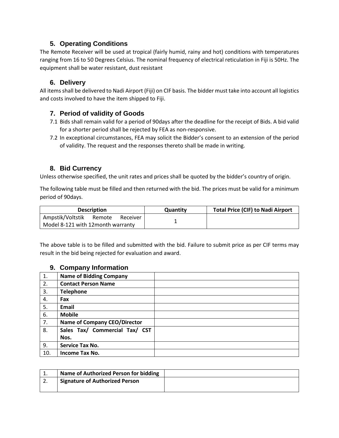#### **5. Operating Conditions**

<span id="page-4-0"></span>The Remote Receiver will be used at tropical (fairly humid, rainy and hot) conditions with temperatures ranging from 16 to 50 Degrees Celsius. The nominal frequency of electrical reticulation in Fiji is 50Hz. The equipment shall be water resistant, dust resistant

#### **6. Delivery**

<span id="page-4-1"></span>All items shall be delivered to Nadi Airport (Fiji) on CIF basis. The bidder must take into account all logistics and costs involved to have the item shipped to Fiji.

#### <span id="page-4-2"></span>**7. Period of validity of Goods**

- 7.1 Bids shall remain valid for a period of 90days after the deadline for the receipt of Bids. A bid valid for a shorter period shall be rejected by FEA as non-responsive.
- 7.2 In exceptional circumstances, FEA may solicit the Bidder's consent to an extension of the period of validity. The request and the responses thereto shall be made in writing.

#### **8. Bid Currency**

<span id="page-4-3"></span>Unless otherwise specified, the unit rates and prices shall be quoted by the bidder's country of origin.

The following table must be filled and then returned with the bid. The prices must be valid for a minimum period of 90days.

| <b>Description</b>                |          | Quantity | <b>Total Price (CIF) to Nadi Airport</b> |
|-----------------------------------|----------|----------|------------------------------------------|
| Ampstik/Voltstik<br>Remote        | Receiver |          |                                          |
| Model 8-121 with 12month warranty |          |          |                                          |

The above table is to be filled and submitted with the bid. Failure to submit price as per CIF terms may result in the bid being rejected for evaluation and award.

#### **9. Company Information**

<span id="page-4-4"></span>

| 1.  | <b>Name of Bidding Company</b>      |  |
|-----|-------------------------------------|--|
| 2.  | <b>Contact Person Name</b>          |  |
| 3.  | <b>Telephone</b>                    |  |
| 4.  | Fax                                 |  |
| 5.  | Email                               |  |
| 6.  | <b>Mobile</b>                       |  |
| 7.  | <b>Name of Company CEO/Director</b> |  |
| 8.  | Sales Tax/ Commercial Tax/ CST      |  |
|     | Nos.                                |  |
| 9.  | Service Tax No.                     |  |
| 10. | Income Tax No.                      |  |

| ᆠ.       | Name of Authorized Person for bidding |  |
|----------|---------------------------------------|--|
| <u>.</u> | <b>Signature of Authorized Person</b> |  |
|          |                                       |  |